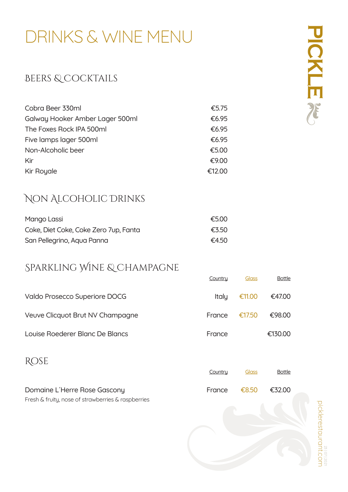# DRINKS & WINE MENU

#### BEERS & COCKTAILS

| Cobra Beer 330ml                | €5.75  |
|---------------------------------|--------|
| Galway Hooker Amber Lager 500ml | €6.95  |
| The Foxes Rock IPA 500ml        | €6.95  |
| Five lamps lager 500ml          | €6.95  |
| Non-Alcoholic beer              | €5.00  |
| Kir                             | €9.00  |
| Kir Royale                      | €12.00 |

#### Non Alcoholic Drinks

| Mango Lassi                           | €5.00 |
|---------------------------------------|-------|
| Coke, Diet Coke, Coke Zero 7up, Fanta | €3.50 |
| San Pellegrino, Aqua Panna            | €4.50 |

#### Sparkling Wine & Champagne

|                                                    | Country | <b>Glass</b> | <b>Bottle</b> |
|----------------------------------------------------|---------|--------------|---------------|
| Valdo Prosecco Superiore DOCG                      | Italy   | €11.00       | €47.00        |
| Veuve Clicquot Brut NV Champagne                   | France  | €17.50       | €98.00        |
| Louise Roederer Blanc De Blancs                    | France  |              | €130.00       |
| <b>ROSE</b>                                        |         |              |               |
|                                                    | Country | Glass        | <b>Bottle</b> |
| Domaine L'Herre Rose Gascony                       | France  | €8.50        | €32.00        |
| Fresh & fruity, nose of strawberries & raspberries |         |              |               |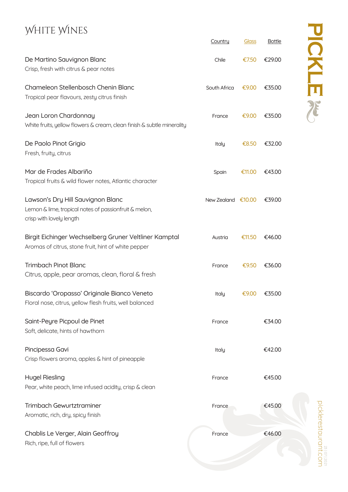## WHITE WINES

|                                                                                                                        | Country              | <b>Glass</b> | <b>Bottle</b> |
|------------------------------------------------------------------------------------------------------------------------|----------------------|--------------|---------------|
| De Martino Sauvignon Blanc<br>Crisp, fresh with citrus & pear notes                                                    | Chile                | €7.50        | €29.00        |
| Chameleon Stellenbosch Chenin Blanc<br>Tropical pear flavours, zesty citrus finish                                     | South Africa         | €9.00        | €35.00        |
| Jean Loron Chardonnay<br>White fruits, yellow flowers & cream, clean finish & subtle minerality                        | France               | €9.00        | €35.00        |
| De Paolo Pinot Grigio<br>Fresh, fruity, citrus                                                                         | Italy                | €8.50        | €32.00        |
| Mar de Frades Albariño<br>Tropical fruits & wild flower notes, Atlantic character                                      | Spain                | €11.00       | €43.00        |
| Lawson's Dry Hill Sauvignon Blanc<br>Lemon & lime, tropical notes of passionfruit & melon,<br>crisp with lovely length | New Zealand $€10.00$ |              | €39.00        |
| Birgit Eichinger Wechselberg Gruner Veltliner Kamptal<br>Aromas of citrus, stone fruit, hint of white pepper           | Austria              | €11.50       | €46.00        |
| <b>Trimbach Pinot Blanc</b><br>Citrus, apple, pear aromas, clean, floral & fresh                                       | France               | €9.50        | €36.00        |
| Biscardo 'Oropasso' Originale Bianco Veneto<br>Floral nose, citrus, yellow flesh fruits, well balanced                 | Italy                | €9.00        | €35.00        |
| Saint-Peyre Picpoul de Pinet<br>Soft, delicate, hints of hawthorn                                                      | France               |              | €34.00        |
| Pincipessa Gavi<br>Crisp flowers aroma, apples & hint of pineapple                                                     | Italy                |              | €42.00        |
| <b>Hugel Riesling</b><br>Pear, white peach, lime infused acidity, crisp & clean                                        | France               |              | €45.00        |
| Trimbach Gewurtztraminer<br>Aromatic, rich, dry, spicy finish                                                          | France               |              | €45.00        |
| Chablis Le Verger, Alain Geoffroy<br>Rich, ripe, full of flowers                                                       | France               |              | €46.00        |

manustaurant.com picklerestaurant.com 23 | 07 | 2021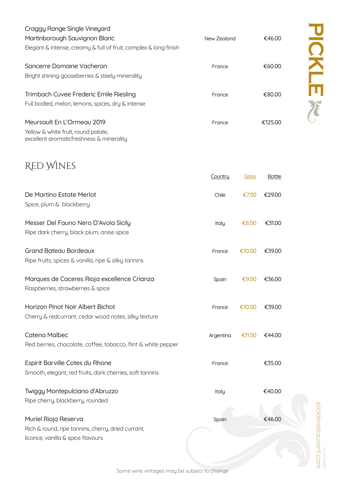| Craggy Range Single Vineyard                                     |             |         |
|------------------------------------------------------------------|-------------|---------|
| Martinborough Sauvignon Blanc                                    | New Zealand | €46.00  |
| Elegant & intense, creamy & full of fruit, complex & long finish |             |         |
| Sancerre Domaine Vacheron                                        | France      | €60.00  |
| Bright shining gooseberries & steely minerality                  |             |         |
| Trimbach Cuvee Frederic Emile Riesling                           | France      | €80.00  |
| Full bodied, melon, lemons, spices, dry & intense                |             |         |
| Meursault En L'Ormeau 2019                                       | France      | €125.00 |
| Yellow & white fruit, round palate,                              |             |         |

excellent aromaticfreshness & minerality

### Red Wines

|                                                                                             | Country   | <u>Glass</u> | <b>Bottle</b> |
|---------------------------------------------------------------------------------------------|-----------|--------------|---------------|
| De Martino Estate Merlot<br>Spice, plum & blackberry                                        | Chile     | €7.50        | €29.00        |
| Messer Del Fauno Nero D'Avola Sicily<br>Ripe dark cherry, black plum, anise spice           | Italy     | €8.00        | €31.00        |
| <b>Grand Bateau Bordeaux</b><br>Ripe fruits, spices & vanilla, ripe & silky tannins         | France    | €10.00       | €39.00        |
| Marques de Caceres Rioja excellence Crianza<br>Raspberries, strawberries & spice            | Spain     | €9.00        | €36.00        |
| Horizon Pinot Noir Albert Bichot<br>Cherry & redcurrant, cedar wood notes, silky texture    | France    | €10.00       | €39.00        |
| <b>Catena Malbec</b><br>Red berries, chocolate, coffee, tobacco, flint & white pepper       | Argentina | €11.50       | €44.00        |
| Espirit Barville Cotes du Rhone<br>Smooth, elegant, red fruits, dark cherries, soft tannins | France    |              | €35.00        |
| Twiggy Montepulciano d'Abruzzo<br>Ripe cherry, blackberry, rounded                          | Italy     |              | €40.00        |
| Muriel Rioja Reserva<br>Rich & round, ripe tannins, cherry, dried currant,                  | Spain     |              | €46.00        |
| licorice, vanilla & spice flavours                                                          |           |              |               |

Some wine vintages may be subject to change

picklerestaurant.com

aslerestaurant.com

23 | 07 | 2021